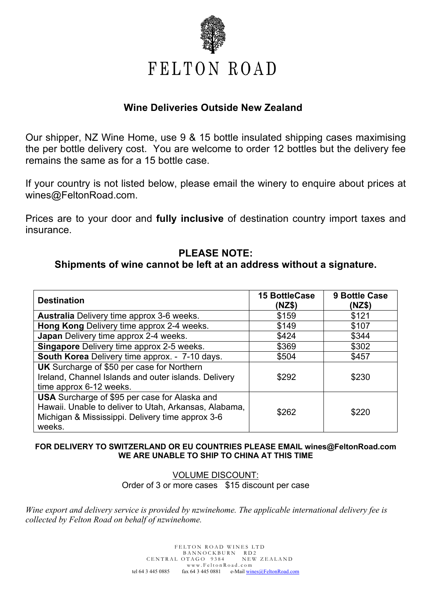

# **Wine Deliveries Outside New Zealand**

Our shipper, NZ Wine Home, use 9 & 15 bottle insulated shipping cases maximising the per bottle delivery cost. You are welcome to order 12 bottles but the delivery fee remains the same as for a 15 bottle case.

If your country is not listed below, please email the winery to enquire about prices at wines@FeltonRoad.com.

Prices are to your door and **fully inclusive** of destination country import taxes and insurance.

# **PLEASE NOTE:**

# **Shipments of wine cannot be left at an address without a signature.**

| <b>Destination</b>                                                                                                                                                          | <b>15 BottleCase</b><br>(NZ\$) | <b>9 Bottle Case</b><br>(NZ\$) |
|-----------------------------------------------------------------------------------------------------------------------------------------------------------------------------|--------------------------------|--------------------------------|
| <b>Australia</b> Delivery time approx 3-6 weeks.                                                                                                                            | \$159                          | \$121                          |
| Hong Kong Delivery time approx 2-4 weeks.                                                                                                                                   | \$149                          | \$107                          |
| Japan Delivery time approx 2-4 weeks.                                                                                                                                       | \$424                          | \$344                          |
| <b>Singapore</b> Delivery time approx 2-5 weeks.                                                                                                                            | \$369                          | \$302                          |
| South Korea Delivery time approx. - 7-10 days.                                                                                                                              | \$504                          | \$457                          |
| <b>UK</b> Surcharge of \$50 per case for Northern<br>Ireland, Channel Islands and outer islands. Delivery<br>time approx 6-12 weeks.                                        | \$292                          | \$230                          |
| <b>USA</b> Surcharge of \$95 per case for Alaska and<br>Hawaii. Unable to deliver to Utah, Arkansas, Alabama,<br>Michigan & Mississippi. Delivery time approx 3-6<br>weeks. | \$262                          | \$220                          |

## **FOR DELIVERY TO SWITZERLAND OR EU COUNTRIES PLEASE EMAIL wines@FeltonRoad.com WE ARE UNABLE TO SHIP TO CHINA AT THIS TIME**

VOLUME DISCOUNT: Order of 3 or more cases \$15 discount per case

*Wine export and delivery service is provided by nzwinehome. The applicable international delivery fee is collected by Felton Road on behalf of nzwinehome.*

> FELTON ROAD WINES LTD BANNOCKBURN RD2 CENTRAL OTAGO 9384 NEW ZEALAND www.FeltonRoad.com tel 64 3 445 0885 fax 64 3 445 0881 e-Mail wines@FeltonRoad.com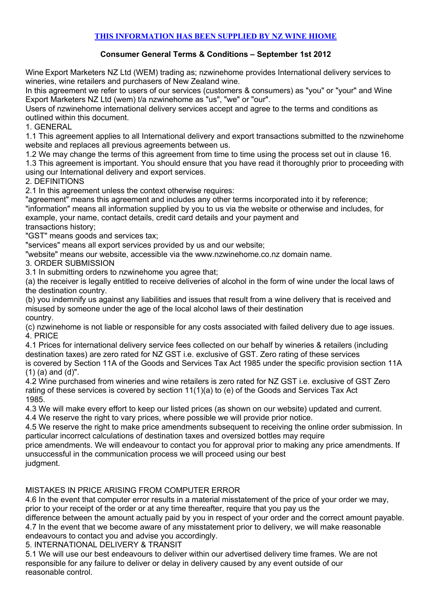## **THIS INFORMATION HAS BEEN SUPPLIED BY NZ WINE HIOME**

## **Consumer General Terms & Conditions – September 1st 2012**

Wine Export Marketers NZ Ltd (WEM) trading as; nzwinehome provides International delivery services to wineries, wine retailers and purchasers of New Zealand wine.

In this agreement we refer to users of our services (customers & consumers) as "you" or "your" and Wine Export Marketers NZ Ltd (wem) t/a nzwinehome as "us", "we" or "our".

Users of nzwinehome international delivery services accept and agree to the terms and conditions as outlined within this document.

1. GENERAL

1.1 This agreement applies to all International delivery and export transactions submitted to the nzwinehome website and replaces all previous agreements between us.

1.2 We may change the terms of this agreement from time to time using the process set out in clause 16.

1.3 This agreement is important. You should ensure that you have read it thoroughly prior to proceeding with using our International delivery and export services.

#### 2. DEFINITIONS

2.1 In this agreement unless the context otherwise requires:

"agreement" means this agreement and includes any other terms incorporated into it by reference; "information" means all information supplied by you to us via the website or otherwise and includes, for example, your name, contact details, credit card details and your payment and transactions history;

"GST" means goods and services tax;

"services" means all export services provided by us and our website;

"website" means our website, accessible via the www.nzwinehome.co.nz domain name.

3. ORDER SUBMISSION

3.1 In submitting orders to nzwinehome you agree that;

(a) the receiver is legally entitled to receive deliveries of alcohol in the form of wine under the local laws of the destination country.

(b) you indemnify us against any liabilities and issues that result from a wine delivery that is received and misused by someone under the age of the local alcohol laws of their destination country.

(c) nzwinehome is not liable or responsible for any costs associated with failed delivery due to age issues. 4. PRICE

4.1 Prices for international delivery service fees collected on our behalf by wineries & retailers (including destination taxes) are zero rated for NZ GST i.e. exclusive of GST. Zero rating of these services is covered by Section 11A of the Goods and Services Tax Act 1985 under the specific provision section 11A (1) (a) and (d)".

4.2 Wine purchased from wineries and wine retailers is zero rated for NZ GST i.e. exclusive of GST Zero rating of these services is covered by section 11(1)(a) to (e) of the Goods and Services Tax Act 1985.

4.3 We will make every effort to keep our listed prices (as shown on our website) updated and current.

4.4 We reserve the right to vary prices, where possible we will provide prior notice.

4.5 We reserve the right to make price amendments subsequent to receiving the online order submission. In particular incorrect calculations of destination taxes and oversized bottles may require

price amendments. We will endeavour to contact you for approval prior to making any price amendments. If unsuccessful in the communication process we will proceed using our best judgment.

## MISTAKES IN PRICE ARISING FROM COMPUTER ERROR

4.6 In the event that computer error results in a material misstatement of the price of your order we may, prior to your receipt of the order or at any time thereafter, require that you pay us the

difference between the amount actually paid by you in respect of your order and the correct amount payable. 4.7 In the event that we become aware of any misstatement prior to delivery, we will make reasonable endeavours to contact you and advise you accordingly.

5. INTERNATIONAL DELIVERY & TRANSIT

5.1 We will use our best endeavours to deliver within our advertised delivery time frames. We are not responsible for any failure to deliver or delay in delivery caused by any event outside of our reasonable control.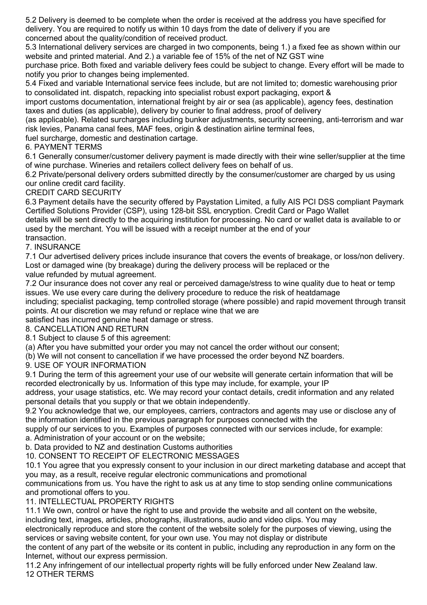5.2 Delivery is deemed to be complete when the order is received at the address you have specified for delivery. You are required to notify us within 10 days from the date of delivery if you are concerned about the quality/condition of received product.

5.3 International delivery services are charged in two components, being 1.) a fixed fee as shown within our website and printed material. And 2.) a variable fee of 15% of the net of NZ GST wine

purchase price. Both fixed and variable delivery fees could be subject to change. Every effort will be made to notify you prior to changes being implemented.

5.4 Fixed and variable International service fees include, but are not limited to; domestic warehousing prior to consolidated int. dispatch, repacking into specialist robust export packaging, export &

import customs documentation, international freight by air or sea (as applicable), agency fees, destination taxes and duties (as applicable), delivery by courier to final address, proof of delivery

(as applicable). Related surcharges including bunker adjustments, security screening, anti-terrorism and war risk levies, Panama canal fees, MAF fees, origin & destination airline terminal fees,

fuel surcharge, domestic and destination cartage.

6. PAYMENT TERMS

6.1 Generally consumer/customer delivery payment is made directly with their wine seller/supplier at the time of wine purchase. Wineries and retailers collect delivery fees on behalf of us.

6.2 Private/personal delivery orders submitted directly by the consumer/customer are charged by us using our online credit card facility.

CREDIT CARD SECURITY

6.3 Payment details have the security offered by Paystation Limited, a fully AIS PCI DSS compliant Paymark Certified Solutions Provider (CSP), using 128-bit SSL encryption. Credit Card or Pago Wallet

details will be sent directly to the acquiring institution for processing. No card or wallet data is available to or used by the merchant. You will be issued with a receipt number at the end of your transaction.

## 7. INSURANCE

7.1 Our advertised delivery prices include insurance that covers the events of breakage, or loss/non delivery. Lost or damaged wine (by breakage) during the delivery process will be replaced or the value refunded by mutual agreement.

7.2 Our insurance does not cover any real or perceived damage/stress to wine quality due to heat or temp issues. We use every care during the delivery procedure to reduce the risk of heatdamage

including; specialist packaging, temp controlled storage (where possible) and rapid movement through transit points. At our discretion we may refund or replace wine that we are

satisfied has incurred genuine heat damage or stress.

8. CANCELLATION AND RETURN

8.1 Subject to clause 5 of this agreement:

(a) After you have submitted your order you may not cancel the order without our consent;

(b) We will not consent to cancellation if we have processed the order beyond NZ boarders.

9. USE OF YOUR INFORMATION

9.1 During the term of this agreement your use of our website will generate certain information that will be recorded electronically by us. Information of this type may include, for example, your IP

address, your usage statistics, etc. We may record your contact details, credit information and any related personal details that you supply or that we obtain independently.

9.2 You acknowledge that we, our employees, carriers, contractors and agents may use or disclose any of the information identified in the previous paragraph for purposes connected with the

supply of our services to you. Examples of purposes connected with our services include, for example: a. Administration of your account or on the website;

b. Data provided to NZ and destination Customs authorities

10. CONSENT TO RECEIPT OF ELECTRONIC MESSAGES

10.1 You agree that you expressly consent to your inclusion in our direct marketing database and accept that you may, as a result, receive regular electronic communications and promotional

communications from us. You have the right to ask us at any time to stop sending online communications and promotional offers to you.

## 11. INTELLECTUAL PROPERTY RIGHTS

11.1 We own, control or have the right to use and provide the website and all content on the website, including text, images, articles, photographs, illustrations, audio and video clips. You may

electronically reproduce and store the content of the website solely for the purposes of viewing, using the services or saving website content, for your own use. You may not display or distribute

the content of any part of the website or its content in public, including any reproduction in any form on the Internet, without our express permission.

11.2 Any infringement of our intellectual property rights will be fully enforced under New Zealand law. 12 OTHER TERMS